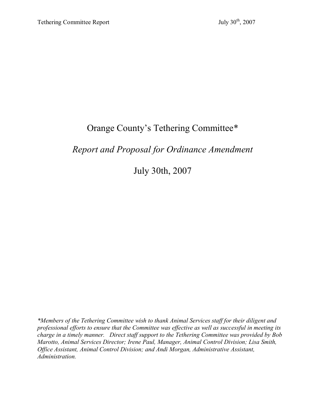# Orange County's Tethering Committee\*

# *Report and Proposal for Ordinance Amendment*

July 30th, 2007

*\*Members of the Tethering Committee wish to thank Animal Services staff for their diligent and professional efforts to ensure that the Committee was effective as well as successful in meeting its charge in a timely manner. Direct staff support to the Tethering Committee was provided by Bob Marotto, Animal Services Director; Irene Paul, Manager, Animal Control Division; Lisa Smith, Office Assistant, Animal Control Division; and Andi Morgan, Administrative Assistant, Administration.*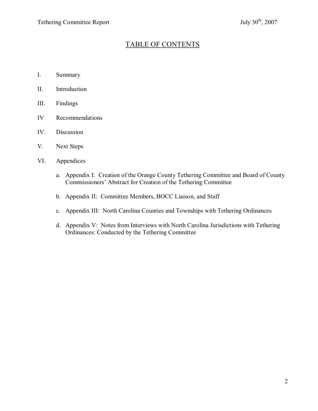# TABLE OF CONTENTS

- I. Summary
- II. Introduction
- III. Findings
- IV Recommendations
- IV. Discussion
- V. Next Steps
- VI. Appendices
	- a. Appendix I: Creation of the Orange County Tethering Committee and Board of County Commissioners' Abstract for Creation of the Tethering Committee
	- b. Appendix II: Committee Members, BOCC Liaison, and Staff
	- c. Appendix III: North Carolina Counties and Townships with Tethering Ordinances
	- d. Appendix V: Notes from Interviews with North Carolina Jurisdictions with Tethering Ordinances: Conducted by the Tethering Committee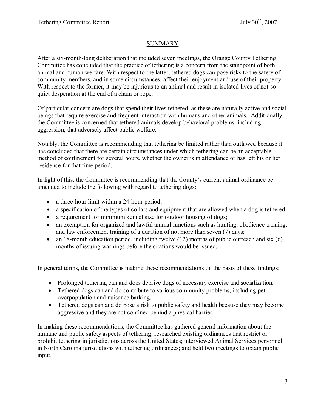## **SUMMARY**

After a six-month-long deliberation that included seven meetings, the Orange County Tethering Committee has concluded that the practice of tethering is a concern from the standpoint of both animal and human welfare. With respect to the latter, tethered dogs can pose risks to the safety of community members, and in some circumstances, affect their enjoyment and use of their property. With respect to the former, it may be injurious to an animal and result in isolated lives of not-soquiet desperation at the end of a chain or rope.

Of particular concern are dogs that spend their lives tethered, as these are naturally active and social beings that require exercise and frequent interaction with humans and other animals. Additionally, the Committee is concerned that tethered animals develop behavioral problems, including aggression, that adversely affect public welfare.

Notably, the Committee is recommending that tethering be limited rather than outlawed because it has concluded that there are certain circumstances under which tethering can be an acceptable method of confinement for several hours, whether the owner is in attendance or has left his or her residence for that time period.

In light of this, the Committee is recommending that the County's current animal ordinance be amended to include the following with regard to tethering dogs:

- a three-hour limit within a 24-hour period;
- a specification of the types of collars and equipment that are allowed when a dog is tethered;
- a requirement for minimum kennel size for outdoor housing of dogs;
- an exemption for organized and lawful animal functions such as hunting, obedience training, and law enforcement training of a duration of not more than seven (7) days;
- an 18-month education period, including twelve  $(12)$  months of public outreach and six  $(6)$ months of issuing warnings before the citations would be issued.

In general terms, the Committee is making these recommendations on the basis of these findings:

- Prolonged tethering can and does deprive dogs of necessary exercise and socialization.
- · Tethered dogs can and do contribute to various community problems, including pet overpopulation and nuisance barking.
- · Tethered dogs can and do pose a risk to public safety and health because they may become aggressive and they are not confined behind a physical barrier.

In making these recommendations, the Committee has gathered general information about the humane and public safety aspects of tethering; researched existing ordinances that restrict or prohibit tethering in jurisdictions across the United States; interviewed Animal Services personnel in North Carolina jurisdictions with tethering ordinances; and held two meetings to obtain public input.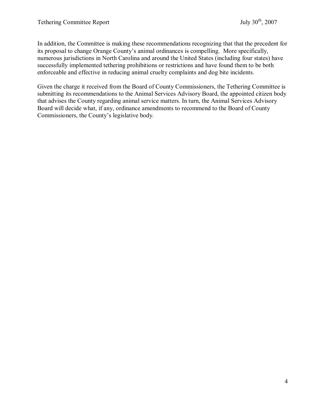In addition, the Committee is making these recommendations recognizing that that the precedent for its proposal to change Orange County's animal ordinances is compelling. More specifically, numerous jurisdictions in North Carolina and around the United States (including four states) have successfully implemented tethering prohibitions or restrictions and have found them to be both enforceable and effective in reducing animal cruelty complaints and dog bite incidents.

Given the charge it received from the Board of County Commissioners, the Tethering Committee is submitting its recommendations to the Animal Services Advisory Board, the appointed citizen body that advises the County regarding animal service matters. In turn, the Animal Services Advisory Board will decide what, if any, ordinance amendments to recommend to the Board of County Commissioners, the County's legislative body.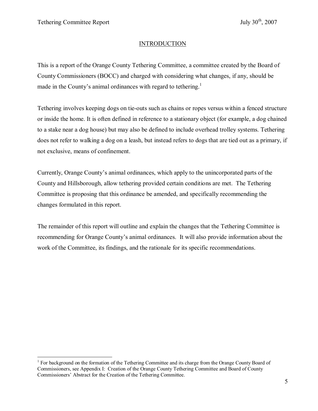#### INTRODUCTION

This is a report of the Orange County Tethering Committee, a committee created by the Board of County Commissioners (BOCC) and charged with considering what changes, if any, should be made in the County's animal ordinances with regard to tethering.<sup>1</sup>

Tethering involves keeping dogs on tie-outs such as chains or ropes versus within a fenced structure or inside the home. It is often defined in reference to a stationary object (for example, a dog chained to a stake near a dog house) but may also be defined to include overhead trolley systems. Tethering does not refer to walking a dog on a leash, but instead refers to dogs that are tied out as a primary, if not exclusive, means of confinement.

Currently, Orange County's animal ordinances, which apply to the unincorporated parts of the County and Hillsborough, allow tethering provided certain conditions are met. The Tethering Committee is proposing that this ordinance be amended, and specifically recommending the changes formulated in this report.

The remainder of this report will outline and explain the changes that the Tethering Committee is recommending for Orange County's animal ordinances. It will also provide information about the work of the Committee, its findings, and the rationale for its specific recommendations.

<sup>&</sup>lt;sup>1</sup> For background on the formation of the Tethering Committee and its charge from the Orange County Board of Commissioners, see Appendix I: Creation of the Orange County Tethering Committee and Board of County Commissioners' Abstract for the Creation of the Tethering Committee.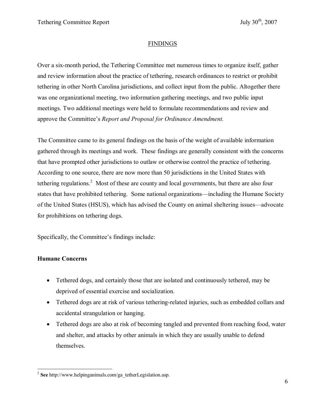#### **FINDINGS**

Over a six-month period, the Tethering Committee met numerous times to organize itself, gather and review information about the practice of tethering, research ordinances to restrict or prohibit tethering in other North Carolina jurisdictions, and collect input from the public. Altogether there was one organizational meeting, two information gathering meetings, and two public input meetings. Two additional meetings were held to formulate recommendations and review and approve the Committee's *Report and Proposal for Ordinance Amendment.*

The Committee came to its general findings on the basis of the weight of available information gathered through its meetings and work. These findings are generally consistent with the concerns that have prompted other jurisdictions to outlaw or otherwise control the practice of tethering. According to one source, there are now more than 50 jurisdictions in the United States with tethering regulations.<sup>2</sup> Most of these are county and local governments, but there are also four states that have prohibited tethering. Some national organizations—including the Humane Society of the United States (HSUS), which has advised the County on animal sheltering issues—advocate for prohibitions on tethering dogs.

Specifically, the Committee's findings include:

### **Humane Concerns**

- Tethered dogs, and certainly those that are isolated and continuously tethered, may be deprived of essential exercise and socialization.
- Tethered dogs are at risk of various tethering-related injuries, such as embedded collars and accidental strangulation or hanging.
- Tethered dogs are also at risk of becoming tangled and prevented from reaching food, water and shelter, and attacks by other animals in which they are usually unable to defend themselves.

<sup>2</sup> **See** http://www.helpinganimals.com/ga\_tetherLegislation.asp.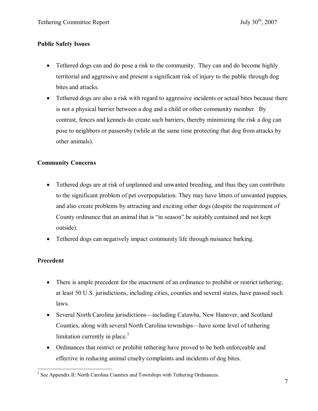### **Public Safety Issues**

- Tethered dogs can and do pose a risk to the community. They can and do become highly territorial and aggressive and present a significant risk of injury to the public through dog bites and attacks.
- Tethered dogs are also a risk with regard to aggressive incidents or actual bites because there is not a physical barrier between a dog and a child or other community member. By contrast, fences and kennels do create such barriers, thereby minimizing the risk a dog can pose to neighbors or passersby (while at the same time protecting that dog from attacks by other animals).

## **Community Concerns**

- Tethered dogs are at risk of unplanned and unwanted breeding, and thus they can contribute to the significant problem of pet overpopulation. They may have litters of unwanted puppies, and also create problems by attracting and exciting other dogs (despite the requirement of County ordinance that an animal that is "in season" be suitably contained and not kept outside).
- Tethered dogs can negatively impact community life through nuisance barking.

## **Precedent**

- There is ample precedent for the enactment of an ordinance to prohibit or restrict tethering; at least 50 U.S. jurisdictions, including cities, counties and several states, have passed such laws.
- Several North Carolina jurisdictions—including Catawba, New Hanover, and Scotland Counties, along with several North Carolina townships—have some level of tethering limitation currently in place. $3$
- Ordinances that restrict or prohibit tethering have proved to be both enforceable and effective in reducing animal cruelty complaints and incidents of dog bites.

<sup>&</sup>lt;sup>3</sup> See Appendix II: North Carolina Counties and Townships with Tethering Ordinances.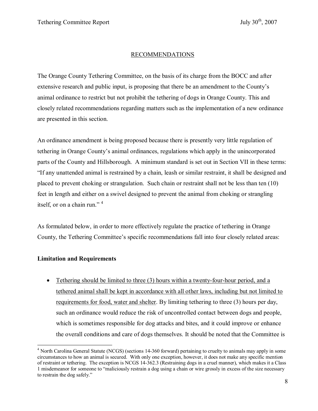### RECOMMENDATIONS

The Orange County Tethering Committee, on the basis of its charge from the BOCC and after extensive research and public input, is proposing that there be an amendment to the County's animal ordinance to restrict but not prohibit the tethering of dogs in Orange County. This and closely related recommendations regarding matters such as the implementation of a new ordinance are presented in this section.

An ordinance amendment is being proposed because there is presently very little regulation of tethering in Orange County's animal ordinances, regulations which apply in the unincorporated parts of the County and Hillsborough. A minimum standard is set out in Section VII in these terms: "If any unattended animal is restrained by a chain, leash or similar restraint, it shall be designed and placed to prevent choking or strangulation. Such chain or restraint shall not be less than ten (10) feet in length and either on a swivel designed to prevent the animal from choking or strangling itself, or on a chain run."<sup>4</sup>

As formulated below, in order to more effectively regulate the practice of tethering in Orange County, the Tethering Committee's specific recommendations fall into four closely related areas:

### **Limitation and Requirements**

• Tethering should be limited to three  $(3)$  hours within a twenty-four-hour period, and a tethered animal shall be kept in accordance with all other laws, including but not limited to requirements for food, water and shelter. By limiting tethering to three (3) hours per day, such an ordinance would reduce the risk of uncontrolled contact between dogs and people, which is sometimes responsible for dog attacks and bites, and it could improve or enhance the overall conditions and care of dogs themselves. It should be noted that the Committee is

<sup>4</sup> North Carolina General Statute (NCGS) (sections 14360 forward) pertaining to cruelty to animals may apply in some circumstances to how an animal is secured. With only one exception, however, it does not make any specific mention of restraint or tethering. The exception is NCGS 14362.3 (Restraining dogs in a cruel manner), which makes it a Class 1 misdemeanor for someone to "maliciously restrain a dog using a chain or wire grossly in excess of the size necessary to restrain the dog safely."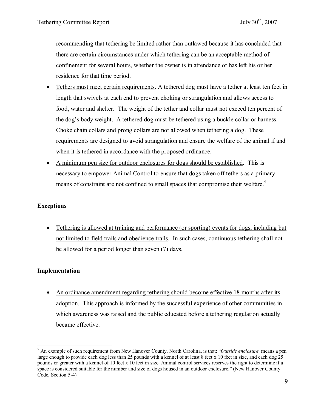recommending that tethering be limited rather than outlawed because it has concluded that there are certain circumstances under which tethering can be an acceptable method of confinement for several hours, whether the owner is in attendance or has left his or her residence for that time period.

- Tethers must meet certain requirements. A tethered dog must have a tether at least ten feet in length that swivels at each end to prevent choking or strangulation and allows access to food, water and shelter. The weight of the tether and collar must not exceed ten percent of the dog's body weight. A tethered dog must be tethered using a buckle collar or harness. Choke chain collars and prong collars are not allowed when tethering a dog. These requirements are designed to avoid strangulation and ensure the welfare of the animal if and when it is tethered in accordance with the proposed ordinance.
- · A minimum pen size for outdoor enclosures for dogs should be established. This is necessary to empower Animal Control to ensure that dogs taken off tethers as a primary means of constraint are not confined to small spaces that compromise their welfare.<sup>5</sup>

### **Exceptions**

• Tethering is allowed at training and performance (or sporting) events for dogs, including but not limited to field trails and obedience trails. In such cases, continuous tethering shall not be allowed for a period longer than seven (7) days.

#### **Implementation**

• An ordinance amendment regarding tethering should become effective 18 months after its adoption. This approach is informed by the successful experience of other communities in which awareness was raised and the public educated before a tethering regulation actually became effective.

<sup>5</sup> An example of such requirement from New Hanover County, North Carolina, is that: "*Outside enclosure* means a pen large enough to provide each dog less than 25 pounds with a kennel of at least 8 feet x 10 feet in size, and each dog 25 pounds or greater with a kennel of 10 feet x 10 feet in size. Animal control services reserves the right to determine if a space is considered suitable for the number and size of dogs housed in an outdoor enclosure." (New Hanover County Code, Section 5-4)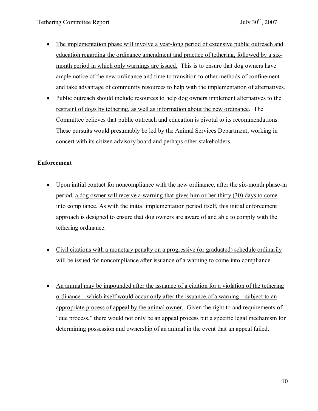- The implementation phase will involve a year-long period of extensive public outreach and education regarding the ordinance amendment and practice of tethering, followed by a six month period in which only warnings are issued. This is to ensure that dog owners have ample notice of the new ordinance and time to transition to other methods of confinement and take advantage of community resources to help with the implementation of alternatives.
- · Public outreach should include resources to help dog owners implement alternatives to the restraint of dogs by tethering, as well as information about the new ordinance. The Committee believes that public outreach and education is pivotal to its recommendations. These pursuits would presumably be led by the Animal Services Department, working in concert with its citizen advisory board and perhaps other stakeholders.

### **Enforcement**

- Upon initial contact for noncompliance with the new ordinance, after the six-month phase-in period, a dog owner will receive a warning that gives him or her thirty (30) days to come into compliance. As with the initial implementation period itself, this initial enforcement approach is designed to ensure that dog owners are aware of and able to comply with the tethering ordinance.
- Civil citations with a monetary penalty on a progressive (or graduated) schedule ordinarily will be issued for noncompliance after issuance of a warning to come into compliance.
- An animal may be impounded after the issuance of a citation for a violation of the tethering ordinance—which itself would occur only after the issuance of a warning—subject to an appropriate process of appeal by the animal owner. Given the right to and requirements of "due process," there would not only be an appeal process but a specific legal mechanism for determining possession and ownership of an animal in the event that an appeal failed.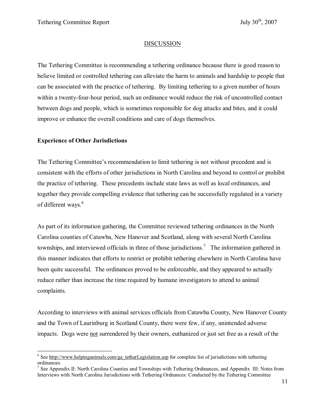#### DISCUSSION

The Tethering Committee is recommending a tethering ordinance because there is good reason to believe limited or controlled tethering can alleviate the harm to animals and hardship to people that can be associated with the practice of tethering. By limiting tethering to a given number of hours within a twenty-four-hour period, such an ordinance would reduce the risk of uncontrolled contact between dogs and people, which is sometimes responsible for dog attacks and bites, and it could improve or enhance the overall conditions and care of dogs themselves.

#### **Experience of Other Jurisdictions**

The Tethering Committee's recommendation to limit tethering is not without precedent and is consistent with the efforts of other jurisdictions in North Carolina and beyond to control or prohibit the practice of tethering. These precedents include state laws as well as local ordinances, and together they provide compelling evidence that tethering can be successfully regulated in a variety of different ways.<sup>6</sup>

As part of its information gathering, the Committee reviewed tethering ordinances in the North Carolina counties of Catawba, New Hanover and Scotland, along with several North Carolina townships, and interviewed officials in three of those jurisdictions.<sup>7</sup> The information gathered in this manner indicates that efforts to restrict or prohibit tethering elsewhere in North Carolina have been quite successful. The ordinances proved to be enforceable, and they appeared to actually reduce rather than increase the time required by humane investigators to attend to animal complaints.

According to interviews with animal services officials from Catawba County, New Hanover County and the Town of Laurinburg in Scotland County, there were few, if any, unintended adverse impacts. Dogs were not surrendered by their owners, euthanized or just set free as a result of the

 $6$  See http://www.helpinganimals.com/ga\_tetherLegislation.asp for complete list of jurisdictions with tethering ordinances.<br><sup>7</sup> See Appendix II: North Carolina Counties and Townships with Tethering Ordinances, and Appendix III: Notes from

Interviews with North Carolina Jurisdictions with Tethering Ordnances: Conducted by the Tethering Committee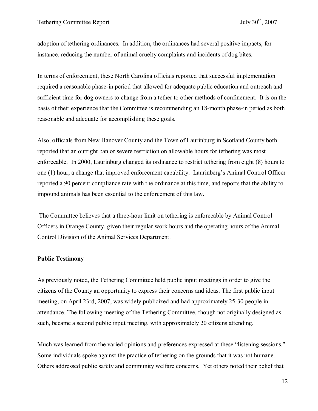adoption of tethering ordinances. In addition, the ordinances had several positive impacts, for instance, reducing the number of animal cruelty complaints and incidents of dog bites.

In terms of enforcement, these North Carolina officials reported that successful implementation required a reasonable phase-in period that allowed for adequate public education and outreach and sufficient time for dog owners to change from a tether to other methods of confinement. It is on the basis of their experience that the Committee is recommending an 18-month phase-in period as both reasonable and adequate for accomplishing these goals.

Also, officials from New Hanover County and the Town of Laurinburg in Scotland County both reported that an outright ban or severe restriction on allowable hours for tethering was most enforceable. In 2000, Laurinburg changed its ordinance to restrict tethering from eight (8) hours to one (1) hour, a change that improved enforcement capability. Laurinberg's Animal Control Officer reported a 90 percent compliance rate with the ordinance at this time, and reports that the ability to impound animals has been essential to the enforcement of this law.

The Committee believes that a three-hour limit on tethering is enforceable by Animal Control Officers in Orange County, given their regular work hours and the operating hours of the Animal Control Division of the Animal Services Department.

#### **Public Testimony**

As previously noted, the Tethering Committee held public input meetings in order to give the citizens of the County an opportunity to express their concerns and ideas. The first public input meeting, on April 23rd, 2007, was widely publicized and had approximately 2530 people in attendance. The following meeting of the Tethering Committee, though not originally designed as such, became a second public input meeting, with approximately 20 citizens attending.

Much was learned from the varied opinions and preferences expressed at these "listening sessions." Some individuals spoke against the practice of tethering on the grounds that it was not humane. Others addressed public safety and community welfare concerns. Yet others noted their belief that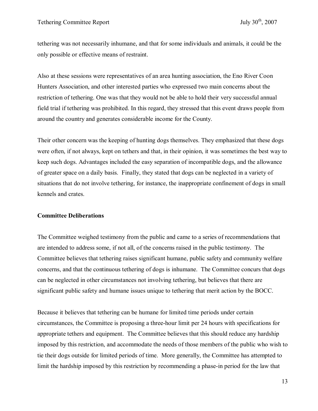tethering was not necessarily inhumane, and that for some individuals and animals, it could be the only possible or effective means of restraint.

Also at these sessions were representatives of an area hunting association, the Eno River Coon Hunters Association, and other interested parties who expressed two main concerns about the restriction of tethering. One was that they would not be able to hold their very successful annual field trial if tethering was prohibited. In this regard, they stressed that this event draws people from around the country and generates considerable income for the County.

Their other concern was the keeping of hunting dogs themselves. They emphasized that these dogs were often, if not always, kept on tethers and that, in their opinion, it was sometimes the best way to keep such dogs. Advantages included the easy separation of incompatible dogs, and the allowance of greater space on a daily basis. Finally, they stated that dogs can be neglected in a variety of situations that do not involve tethering, for instance, the inappropriate confinement of dogs in small kennels and crates.

#### **Committee Deliberations**

The Committee weighed testimony from the public and came to a series of recommendations that are intended to address some, if not all, of the concerns raised in the public testimony. The Committee believes that tethering raises significant humane, public safety and community welfare concerns, and that the continuous tethering of dogs is inhumane. The Committee concurs that dogs can be neglected in other circumstances not involving tethering, but believes that there are significant public safety and humane issues unique to tethering that merit action by the BOCC.

Because it believes that tethering can be humane for limited time periods under certain circumstances, the Committee is proposing a three-hour limit per 24 hours with specifications for appropriate tethers and equipment. The Committee believes that this should reduce any hardship imposed by this restriction, and accommodate the needs of those members of the public who wish to tie their dogs outside for limited periods of time. More generally, the Committee has attempted to limit the hardship imposed by this restriction by recommending a phase-in period for the law that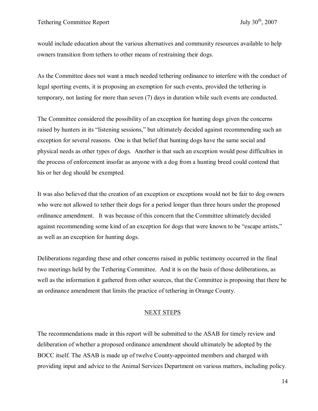would include education about the various alternatives and community resources available to help owners transition from tethers to other means of restraining their dogs.

As the Committee does not want a much needed tethering ordinance to interfere with the conduct of legal sporting events, it is proposing an exemption for such events, provided the tethering is temporary, not lasting for more than seven (7) days in duration while such events are conducted.

The Committee considered the possibility of an exception for hunting dogs given the concerns raised by hunters in its "listening sessions," but ultimately decided against recommending such an exception for several reasons. One is that belief that hunting dogs have the same social and physical needs as other types of dogs. Another is that such an exception would pose difficulties in the process of enforcement insofar as anyone with a dog from a hunting breed could contend that his or her dog should be exempted.

It was also believed that the creation of an exception or exceptions would not be fair to dog owners who were not allowed to tether their dogs for a period longer than three hours under the proposed ordinance amendment. It was because of this concern that the Committee ultimately decided against recommending some kind of an exception for dogs that were known to be "escape artists," as well as an exception for hunting dogs.

Deliberations regarding these and other concerns raised in public testimony occurred in the final two meetings held by the Tethering Committee. And it is on the basis of those deliberations, as well as the information it gathered from other sources, that the Committee is proposing that there be an ordinance amendment that limits the practice of tethering in Orange County.

#### NEXT STEPS

The recommendations made in this report will be submitted to the ASAB for timely review and deliberation of whether a proposed ordinance amendment should ultimately be adopted by the BOCC itself. The ASAB is made up of twelve County-appointed members and charged with providing input and advice to the Animal Services Department on various matters, including policy.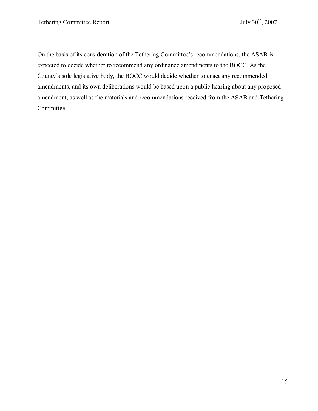On the basis of its consideration of the Tethering Committee's recommendations, the ASAB is expected to decide whether to recommend any ordinance amendments to the BOCC. As the County's sole legislative body, the BOCC would decide whether to enact any recommended amendments, and its own deliberations would be based upon a public hearing about any proposed amendment, as well as the materials and recommendations received from the ASAB and Tethering Committee.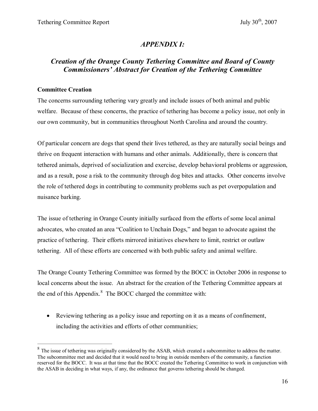## *APPENDIX I:*

## *Creation of the Orange County Tethering Committee and Board of County Commissioners' Abstract for Creation of the Tethering Committee*

### **Committee Creation**

The concerns surrounding tethering vary greatly and include issues of both animal and public welfare. Because of these concerns, the practice of tethering has become a policy issue, not only in our own community, but in communities throughout North Carolina and around the country.

Of particular concern are dogs that spend their lives tethered, as they are naturally social beings and thrive on frequent interaction with humans and other animals. Additionally, there is concern that tethered animals, deprived of socialization and exercise, develop behavioral problems or aggression, and as a result, pose a risk to the community through dog bites and attacks. Other concerns involve the role of tethered dogs in contributing to community problems such as pet overpopulation and nuisance barking.

The issue of tethering in Orange County initially surfaced from the efforts of some local animal advocates, who created an area "Coalition to Unchain Dogs," and began to advocate against the practice of tethering. Their efforts mirrored initiatives elsewhere to limit, restrict or outlaw tethering. All of these efforts are concerned with both public safety and animal welfare.

The Orange County Tethering Committee was formed by the BOCC in October 2006 in response to local concerns about the issue. An abstract for the creation of the Tethering Committee appears at the end of this Appendix. $8\text{ The BOCC charged the committee with:}$ 

· Reviewing tethering as a policy issue and reporting on it as a means of confinement, including the activities and efforts of other communities;

<sup>&</sup>lt;sup>8</sup> The issue of tethering was originally considered by the ASAB, which created a subcommittee to address the matter. The subcommittee met and decided that it would need to bring in outside members of the community, a function reserved for the BOCC. It was at that time that the BOCC created the Tethering Committee to work in conjunction with the ASAB in deciding in what ways, if any, the ordinance that governs tethering should be changed.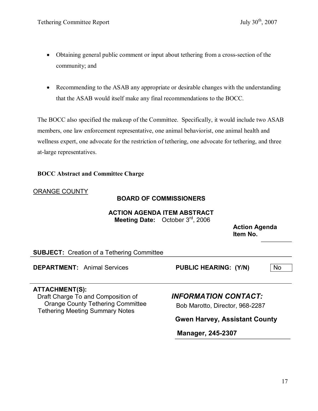- Obtaining general public comment or input about tethering from a cross-section of the community; and
- Recommending to the ASAB any appropriate or desirable changes with the understanding that the ASAB would itself make any final recommendations to the BOCC.

The BOCC also specified the makeup of the Committee. Specifically, it would include two ASAB members, one law enforcement representative, one animal behaviorist, one animal health and wellness expert, one advocate for the restriction of tethering, one advocate for tethering, and three at-large representatives.

### **BOCC Abstract and Committee Charge**

## ORANGE COUNTY

## **BOARD OF COMMISSIONERS**

## **ACTION AGENDA ITEM ABSTRACT** Meeting Date: October 3rd, 2006

**Action Agenda Item No.**

| <b>SUBJECT:</b> Creation of a Tethering Committee                                                                                                 |                                                                |
|---------------------------------------------------------------------------------------------------------------------------------------------------|----------------------------------------------------------------|
| <b>DEPARTMENT:</b> Animal Services                                                                                                                | <b>PUBLIC HEARING: (Y/N)</b><br><b>No</b>                      |
| <b>ATTACHMENT(S):</b><br>Draft Charge To and Composition of<br><b>Orange County Tethering Committee</b><br><b>Tethering Meeting Summary Notes</b> | <b>INFORMATION CONTACT:</b><br>Bob Marotto, Director, 968-2287 |
|                                                                                                                                                   | <b>Gwen Harvey, Assistant County</b>                           |

# **Manager, 245-2307**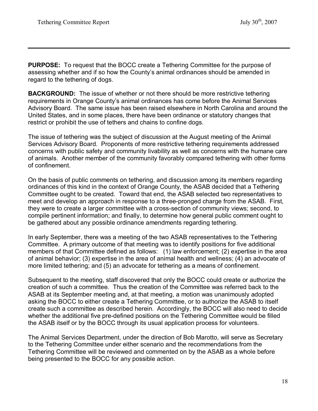**PURPOSE:** To request that the BOCC create a Tethering Committee for the purpose of assessing whether and if so how the County's animal ordinances should be amended in regard to the tethering of dogs.

**BACKGROUND:** The issue of whether or not there should be more restrictive tethering requirements in Orange County's animal ordinances has come before the Animal Services Advisory Board. The same issue has been raised elsewhere in North Carolina and around the United States, and in some places, there have been ordinance or statutory changes that restrict or prohibit the use of tethers and chains to confine dogs.

The issue of tethering was the subject of discussion at the August meeting of the Animal Services Advisory Board. Proponents of more restrictive tethering requirements addressed concerns with public safety and community livability as well as concerns with the humane care of animals. Another member of the community favorably compared tethering with other forms of confinement.

On the basis of public comments on tethering, and discussion among its members regarding ordinances of this kind in the context of Orange County, the ASAB decided that a Tethering Committee ought to be created. Toward that end, the ASAB selected two representatives to meet and develop an approach in response to a three-pronged charge from the ASAB. First, they were to create a larger committee with a cross-section of community views; second, to compile pertinent information; and finally, to determine how general public comment ought to be gathered about any possible ordinance amendments regarding tethering.

In early September, there was a meeting of the two ASAB representatives to the Tethering Committee. A primary outcome of that meeting was to identify positions for five additional members of that Committee defined as follows: (1) law enforcement; (2) expertise in the area of animal behavior; (3) expertise in the area of animal health and wellness; (4) an advocate of more limited tethering; and (5) an advocate for tethering as a means of confinement.

Subsequent to the meeting, staff discovered that only the BOCC could create or authorize the creation of such a committee. Thus the creation of the Committee was referred back to the ASAB at its September meeting and, at that meeting, a motion was unanimously adopted asking the BOCC to either create a Tethering Committee, or to authorize the ASAB to itself create such a committee as described herein. Accordingly, the BOCC will also need to decide whether the additional five pre-defined positions on the Tethering Committee would be filled the ASAB itself or by the BOCC through its usual application process for volunteers.

The Animal Services Department, under the direction of Bob Marotto, will serve as Secretary to the Tethering Committee under either scenario and the recommendations from the Tethering Committee will be reviewed and commented on by the ASAB as a whole before being presented to the BOCC for any possible action.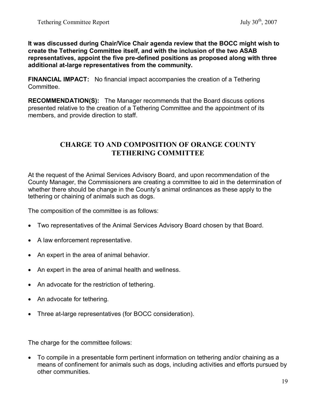**It was discussed during Chair/Vice Chair agenda review that the BOCC might wish to create the Tethering Committee itself, and with the inclusion of the two ASAB**  representatives, appoint the five pre-defined positions as proposed along with three additional at-large representatives from the community.

**FINANCIAL IMPACT:** No financial impact accompanies the creation of a Tethering Committee.

**RECOMMENDATION(S):** The Manager recommends that the Board discuss options presented relative to the creation of a Tethering Committee and the appointment of its members, and provide direction to staff.

## **CHARGE TO AND COMPOSITION OF ORANGE COUNTY TETHERING COMMITTEE**

At the request of the Animal Services Advisory Board, and upon recommendation of the County Manager, the Commissioners are creating a committee to aid in the determination of whether there should be change in the County's animal ordinances as these apply to the tethering or chaining of animals such as dogs.

The composition of the committee is as follows:

- · Two representatives of the Animal Services Advisory Board chosen by that Board.
- · A law enforcement representative.
- An expert in the area of animal behavior.
- An expert in the area of animal health and wellness.
- An advocate for the restriction of tethering.
- An advocate for tethering.
- Three at-large representatives (for BOCC consideration).

The charge for the committee follows:

· To compile in a presentable form pertinent information on tethering and/or chaining as a means of confinement for animals such as dogs, including activities and efforts pursued by other communities.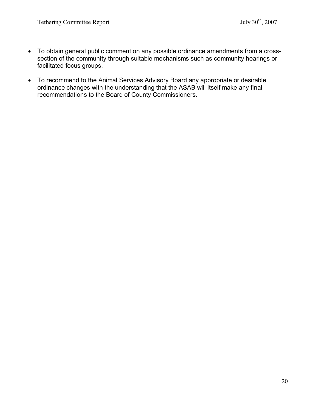- · To obtain general public comment on any possible ordinance amendments from a crosssection of the community through suitable mechanisms such as community hearings or facilitated focus groups.
- · To recommend to the Animal Services Advisory Board any appropriate or desirable ordinance changes with the understanding that the ASAB will itself make any final recommendations to the Board of County Commissioners.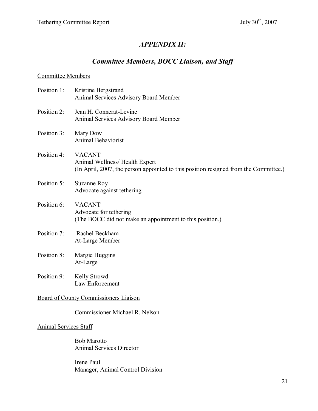# *APPENDIX II:*

# *Committee Members, BOCC Liaison, and Staff*

## Committee Members

| Position 1:           | Kristine Bergstrand<br>Animal Services Advisory Board Member                                                                           |
|-----------------------|----------------------------------------------------------------------------------------------------------------------------------------|
| Position 2:           | Jean H. Connerat-Levine<br>Animal Services Advisory Board Member                                                                       |
| Position 3:           | Mary Dow<br>Animal Behaviorist                                                                                                         |
| Position 4:           | <b>VACANT</b><br>Animal Wellness/Health Expert<br>(In April, 2007, the person appointed to this position resigned from the Committee.) |
| Position 5:           | Suzanne Roy<br>Advocate against tethering                                                                                              |
| Position 6:           | <b>VACANT</b><br>Advocate for tethering<br>(The BOCC did not make an appointment to this position.)                                    |
| Position 7:           | Rachel Beckham<br>At-Large Member                                                                                                      |
| Position 8:           | Margie Huggins<br>At-Large                                                                                                             |
| Position 9:           | Kelly Strowd<br>Law Enforcement                                                                                                        |
|                       | Board of County Commissioners Liaison                                                                                                  |
|                       | Commissioner Michael R. Nelson                                                                                                         |
| Animal Services Staff |                                                                                                                                        |
|                       | <b>Bob Marotto</b><br><b>Animal Services Director</b>                                                                                  |
|                       | Irene Paul                                                                                                                             |

Manager, Animal Control Division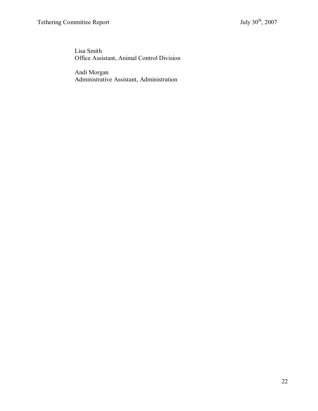Lisa Smith Office Assistant, Animal Control Division

Andi Morgan Administrative Assistant, Administration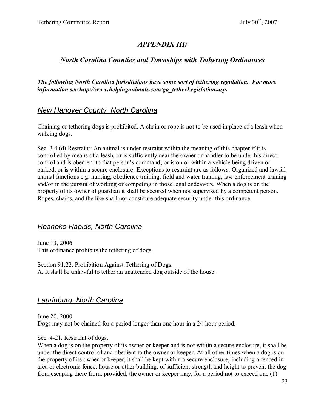## *APPENDIX III:*

## *North Carolina Counties and Townships with Tethering Ordinances*

*The following North Carolina jurisdictions have some sort of tethering regulation. For more information see http://www.helpinganimals.com/ga\_tetherLegislation.asp.*

## *New Hanover County, North Carolina*

Chaining or tethering dogs is prohibited. A chain or rope is not to be used in place of a leash when walking dogs.

Sec. 3.4 (d) Restraint: An animal is under restraint within the meaning of this chapter if it is controlled by means of a leash, or is sufficiently near the owner or handler to be under his direct control and is obedient to that person's command; or is on or within a vehicle being driven or parked; or is within a secure enclosure. Exceptions to restraint are as follows: Organized and lawful animal functions e.g. hunting, obedience training, field and water training, law enforcement training and/or in the pursuit of working or competing in those legal endeavors. When a dog is on the property of its owner of guardian it shall be secured when not supervised by a competent person. Ropes, chains, and the like shall not constitute adequate security under this ordinance.

## *Roanoke Rapids, North Carolina*

June 13, 2006 This ordinance prohibits the tethering of dogs.

Section 91.22. Prohibition Against Tethering of Dogs. A. It shall be unlawful to tether an unattended dog outside of the house.

## *Laurinburg, North Carolina*

June 20, 2000 Dogs may not be chained for a period longer than one hour in a 24-hour period.

Sec. 4-21. Restraint of dogs.

When a dog is on the property of its owner or keeper and is not within a secure enclosure, it shall be under the direct control of and obedient to the owner or keeper. At all other times when a dog is on the property of its owner or keeper, it shall be kept within a secure enclosure, including a fenced in area or electronic fence, house or other building, of sufficient strength and height to prevent the dog from escaping there from; provided, the owner or keeper may, for a period not to exceed one (1)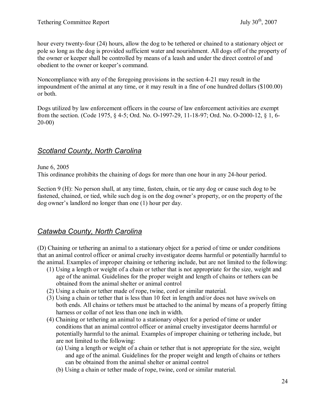hour every twenty-four (24) hours, allow the dog to be tethered or chained to a stationary object or pole so long as the dog is provided sufficient water and nourishment. All dogs off of the property of the owner or keeper shall be controlled by means of a leash and under the direct control of and obedient to the owner or keeper's command.

Noncompliance with any of the foregoing provisions in the section 421 may result in the impoundment of the animal at any time, or it may result in a fine of one hundred dollars (\$100.00) or both.

Dogs utilized by law enforcement officers in the course of law enforcement activities are exempt from the section. (Code 1975, § 4-5; Ord. No. O-1997-29, 11-18-97; Ord. No. O-2000-12, § 1, 6- $20-00$ 

# *Scotland County, North Carolina*

June 6, 2005

This ordinance prohibits the chaining of dogs for more than one hour in any 24-hour period.

Section 9 (H): No person shall, at any time, fasten, chain, or tie any dog or cause such dog to be fastened, chained, or tied, while such dog is on the dog owner's property, or on the property of the dog owner's landlord no longer than one (1) hour per day.

# *Catawba County, North Carolina*

(D) Chaining or tethering an animal to a stationary object for a period of time or under conditions that an animal control officer or animal cruelty investigator deems harmful or potentially harmful to the animal. Examples of improper chaining or tethering include, but are not limited to the following:

- (1) Using a length or weight of a chain or tether that is not appropriate for the size, weight and age of the animal. Guidelines for the proper weight and length of chains or tethers can be obtained from the animal shelter or animal control
- (2) Using a chain or tether made of rope, twine, cord or similar material.
- (3) Using a chain or tether that is less than 10 feet in length and/or does not have swivels on both ends. All chains or tethers must be attached to the animal by means of a properly fitting harness or collar of not less than one inch in width.
- (4) Chaining or tethering an animal to a stationary object for a period of time or under conditions that an animal control officer or animal cruelty investigator deems harmful or potentially harmful to the animal. Examples of improper chaining or tethering include, but are not limited to the following:
	- (a) Using a length or weight of a chain or tether that is not appropriate for the size, weight and age of the animal. Guidelines for the proper weight and length of chains or tethers can be obtained from the animal shelter or animal control
	- (b) Using a chain or tether made of rope, twine, cord or similar material.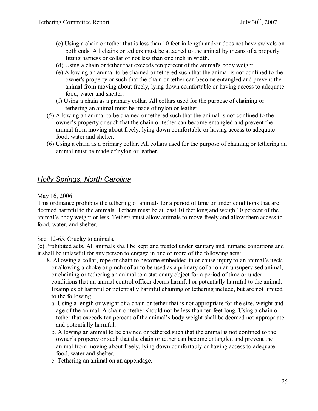- (c) Using a chain or tether that is less than 10 feet in length and/or does not have swivels on both ends. All chains or tethers must be attached to the animal by means of a properly fitting harness or collar of not less than one inch in width.
- (d) Using a chain or tether that exceeds ten percent of the animal's body weight.
- (e) Allowing an animal to be chained or tethered such that the animal is not confined to the owner's property or such that the chain or tether can become entangled and prevent the animal from moving about freely, lying down comfortable or having access to adequate food, water and shelter.
- (f) Using a chain as a primary collar. All collars used for the purpose of chaining or tethering an animal must be made of nylon or leather.
- (5) Allowing an animal to be chained or tethered such that the animal is not confined to the owner's property or such that the chain or tether can become entangled and prevent the animal from moving about freely, lying down comfortable or having access to adequate food, water and shelter.
- (6) Using a chain as a primary collar. All collars used for the purpose of chaining or tethering an animal must be made of nylon or leather.

# *Holly Springs, North Carolina*

May 16, 2006

This ordinance prohibits the tethering of animals for a period of time or under conditions that are deemed harmful to the animals. Tethers must be at least 10 feet long and weigh 10 percent of the animal's body weight or less. Tethers must allow animals to move freely and allow them access to food, water, and shelter.

### Sec. 12-65. Cruelty to animals.

(c) Prohibited acts. All animals shall be kept and treated under sanitary and humane conditions and it shall be unlawful for any person to engage in one or more of the following acts:

- 8. Allowing a collar, rope or chain to become embedded in or cause injury to an animal's neck, or allowing a choke or pinch collar to be used as a primary collar on an unsupervised animal, or chaining or tethering an animal to a stationary object for a period of time or under conditions that an animal control officer deems harmful or potentially harmful to the animal. Examples of harmful or potentially harmful chaining or tethering include, but are not limited to the following:
	- a. Using a length or weight of a chain or tether that is not appropriate for the size, weight and age of the animal. A chain or tether should not be less than ten feet long. Using a chain or tether that exceeds ten percent of the animal's body weight shall be deemed not appropriate and potentially harmful.
	- b. Allowing an animal to be chained or tethered such that the animal is not confined to the owner's property or such that the chain or tether can become entangled and prevent the animal from moving about freely, lying down comfortably or having access to adequate food, water and shelter.
	- c. Tethering an animal on an appendage.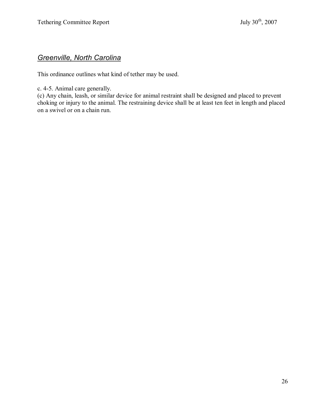# *Greenville, North Carolina*

This ordinance outlines what kind of tether may be used.

c. 4-5. Animal care generally.

(c) Any chain, leash, or similar device for animal restraint shall be designed and placed to prevent choking or injury to the animal. The restraining device shall be at least ten feet in length and placed on a swivel or on a chain run.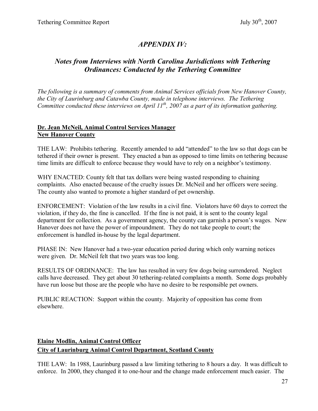## *APPENDIX IV:*

## *Notes from Interviews with North Carolina Jurisdictions with Tethering Ordinances: Conducted by the Tethering Committee*

*The following is a summary of comments from Animal Services officials from New Hanover County, the City of Laurinburg and Catawba County, made in telephone interviews. The Tethering Committee conducted these interviews on April 11 th , 2007 as a part of its information gathering.*

## **Dr. Jean McNeil, Animal Control Services Manager New Hanover County**

THE LAW: Prohibits tethering. Recently amended to add "attended" to the law so that dogs can be tethered if their owner is present. They enacted a ban as opposed to time limits on tethering because time limits are difficult to enforce because they would have to rely on a neighbor's testimony.

WHY ENACTED: County felt that tax dollars were being wasted responding to chaining complaints. Also enacted because of the cruelty issues Dr. McNeil and her officers were seeing. The county also wanted to promote a higher standard of pet ownership.

ENFORCEMENT: Violation of the law results in a civil fine. Violators have 60 days to correct the violation, if they do, the fine is cancelled. If the fine is not paid, it is sent to the county legal department for collection. As a government agency, the county can garnish a person's wages. New Hanover does not have the power of impoundment. They do not take people to court; the enforcement is handled in-house by the legal department.

PHASE IN: New Hanover had a two-year education period during which only warning notices were given. Dr. McNeil felt that two years was too long.

RESULTS OF ORDINANCE: The law has resulted in very few dogs being surrendered. Neglect calls have decreased. They get about 30 tethering-related complaints a month. Some dogs probably have run loose but those are the people who have no desire to be responsible pet owners.

PUBLIC REACTION: Support within the county. Majority of opposition has come from elsewhere.

## **Elaine Modlin, Animal Control Officer City of Laurinburg Animal Control Department, Scotland County**

THE LAW: In 1988, Laurinburg passed a law limiting tethering to 8 hours a day. It was difficult to enforce. In 2000, they changed it to one-hour and the change made enforcement much easier. The